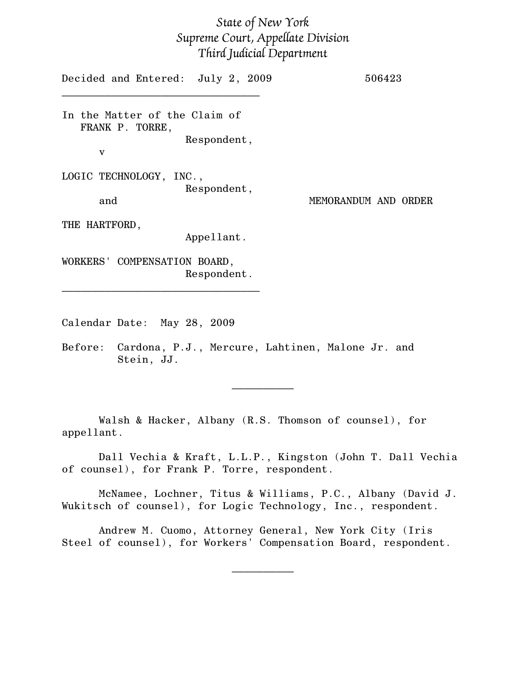## State of New York Supreme Court, Appellate Division Third Judicial Department

Decided and Entered: July 2, 2009 506423  $\mathcal{L}=\{1,2,3,4,5\}$ In the Matter of the Claim of FRANK P. TORRE, Respondent, v LOGIC TECHNOLOGY, INC., Respondent, and MEMORANDUM AND ORDER THE HARTFORD, Appellant. WORKERS' COMPENSATION BOARD, Respondent.  $\mathcal{L}=\{1,2,3,4,5\}$ 

Calendar Date: May 28, 2009

Before: Cardona, P.J., Mercure, Lahtinen, Malone Jr. and Stein, JJ.

Walsh & Hacker, Albany (R.S. Thomson of counsel), for appellant.

Dall Vechia & Kraft, L.L.P., Kingston (John T. Dall Vechia of counsel), for Frank P. Torre, respondent.

 $\frac{1}{2}$ 

McNamee, Lochner, Titus & Williams, P.C., Albany (David J. Wukitsch of counsel), for Logic Technology, Inc., respondent.

Andrew M. Cuomo, Attorney General, New York City (Iris Steel of counsel), for Workers' Compensation Board, respondent.

 $\frac{1}{2}$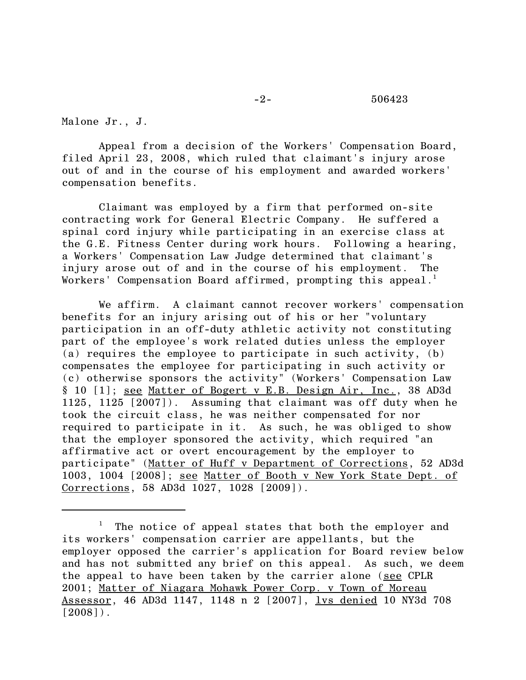## -2- 506423

Malone Jr., J.

Appeal from a decision of the Workers' Compensation Board, filed April 23, 2008, which ruled that claimant's injury arose out of and in the course of his employment and awarded workers' compensation benefits.

Claimant was employed by a firm that performed on-site contracting work for General Electric Company. He suffered a spinal cord injury while participating in an exercise class at the G.E. Fitness Center during work hours. Following a hearing, a Workers' Compensation Law Judge determined that claimant's injury arose out of and in the course of his employment. The Workers' Compensation Board affirmed, prompting this appeal.<sup>1</sup>

We affirm. A claimant cannot recover workers' compensation benefits for an injury arising out of his or her "voluntary participation in an off-duty athletic activity not constituting part of the employee's work related duties unless the employer (a) requires the employee to participate in such activity, (b) compensates the employee for participating in such activity or (c) otherwise sponsors the activity" (Workers' Compensation Law § 10 [1]; see Matter of Bogert v E.B. Design Air, Inc., 38 AD3d 1125, 1125 [2007]). Assuming that claimant was off duty when he took the circuit class, he was neither compensated for nor required to participate in it. As such, he was obliged to show that the employer sponsored the activity, which required "an affirmative act or overt encouragement by the employer to participate" (Matter of Huff v Department of Corrections, 52 AD3d 1003, 1004 [2008]; see Matter of Booth v New York State Dept. of Corrections, 58 AD3d 1027, 1028 [2009]).

<sup>1</sup> The notice of appeal states that both the employer and its workers' compensation carrier are appellants, but the employer opposed the carrier's application for Board review below and has not submitted any brief on this appeal. As such, we deem the appeal to have been taken by the carrier alone (see CPLR 2001; Matter of Niagara Mohawk Power Corp. v Town of Moreau Assessor, 46 AD3d 1147, 1148 n 2 [2007], lvs denied 10 NY3d 708  $[2008]$ .